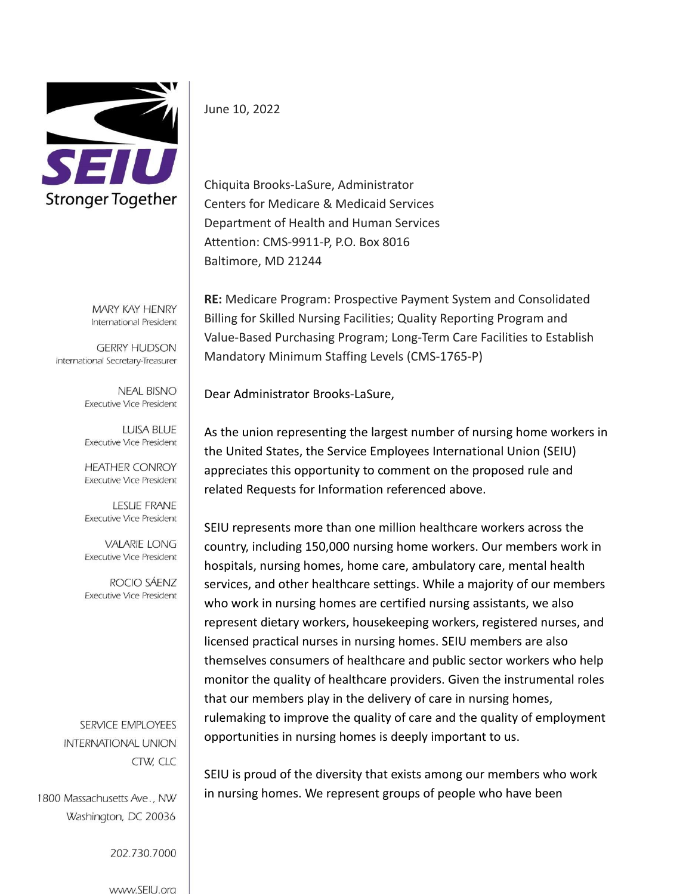

MARY KAY HENRY International President

**GERRY HUDSON** International Secretary-Treasurer

> **NEAL BISNO Executive Vice President**

> **LUISA BLUE Executive Vice President**

> **HEATHER CONROY Executive Vice President**

> **LESLIE FRANE Executive Vice President**

> **VALARIE LONG Executive Vice President**

> ROCIO SÁENZ **Executive Vice President**

SERVICE EMPLOYEES **INTERNATIONAL UNION** CTW, CLC

1800 Massachusetts Ave., NW Washington, DC 20036

202.730.7000

www.SEIU.ora

June 10, 2022

Chiquita Brooks-LaSure, Administrator Centers for Medicare & Medicaid Services Department of Health and Human Services Attention: CMS-9911-P, P.O. Box 8016 Baltimore, MD 21244

**RE:** Medicare Program: Prospective Payment System and Consolidated Billing for Skilled Nursing Facilities; Quality Reporting Program and Value-Based Purchasing Program; Long-Term Care Facilities to Establish Mandatory Minimum Staffing Levels (CMS-1765-P)

Dear Administrator Brooks-LaSure,

As the union representing the largest number of nursing home workers in the United States, the Service Employees International Union (SEIU) appreciates this opportunity to comment on the proposed rule and related Requests for Information referenced above.

SEIU represents more than one million healthcare workers across the country, including 150,000 nursing home workers. Our members work in hospitals, nursing homes, home care, ambulatory care, mental health services, and other healthcare settings. While a majority of our members who work in nursing homes are certified nursing assistants, we also represent dietary workers, housekeeping workers, registered nurses, and licensed practical nurses in nursing homes. SEIU members are also themselves consumers of healthcare and public sector workers who help monitor the quality of healthcare providers. Given the instrumental roles that our members play in the delivery of care in nursing homes, rulemaking to improve the quality of care and the quality of employment opportunities in nursing homes is deeply important to us.

SEIU is proud of the diversity that exists among our members who work in nursing homes. We represent groups of people who have been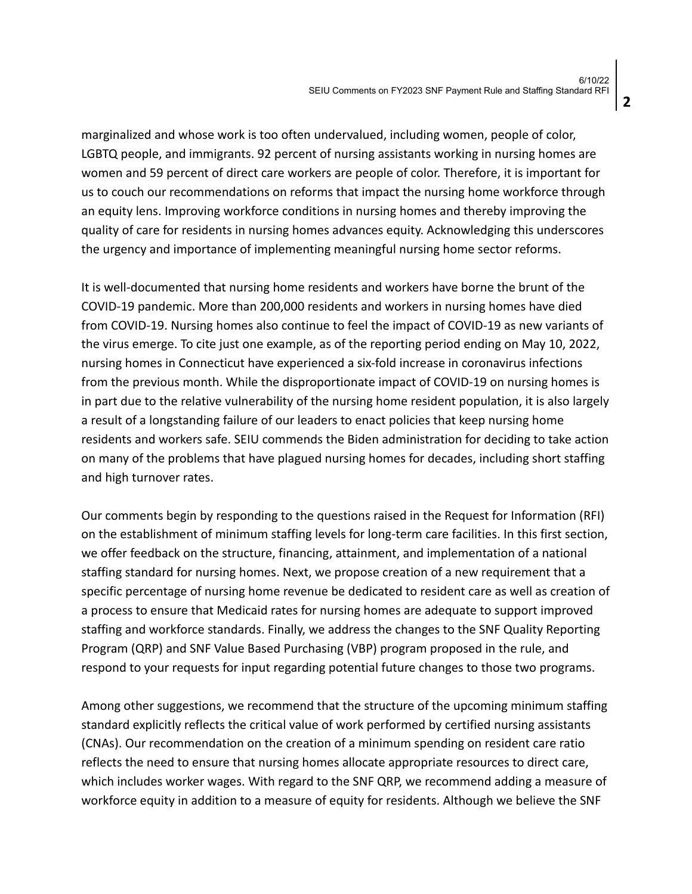marginalized and whose work is too often undervalued, including women, people of color, LGBTQ people, and immigrants. 92 percent of nursing assistants working in nursing homes are women and 59 percent of direct care workers are people of color. Therefore, it is important for us to couch our recommendations on reforms that impact the nursing home workforce through an equity lens. Improving workforce conditions in nursing homes and thereby improving the quality of care for residents in nursing homes advances equity. Acknowledging this underscores the urgency and importance of implementing meaningful nursing home sector reforms.

It is well-documented that nursing home residents and workers have borne the brunt of the COVID-19 pandemic. More than 200,000 residents and workers in nursing homes have died from COVID-19. Nursing homes also continue to feel the impact of COVID-19 as new variants of the virus emerge. To cite just one example, as of the reporting period ending on May 10, 2022, nursing homes in Connecticut have experienced a six-fold increase in coronavirus infections from the previous month. While the disproportionate impact of COVID-19 on nursing homes is in part due to the relative vulnerability of the nursing home resident population, it is also largely a result of a longstanding failure of our leaders to enact policies that keep nursing home residents and workers safe. SEIU commends the Biden administration for deciding to take action on many of the problems that have plagued nursing homes for decades, including short staffing and high turnover rates.

Our comments begin by responding to the questions raised in the Request for Information (RFI) on the establishment of minimum staffing levels for long-term care facilities. In this first section, we offer feedback on the structure, financing, attainment, and implementation of a national staffing standard for nursing homes. Next, we propose creation of a new requirement that a specific percentage of nursing home revenue be dedicated to resident care as well as creation of a process to ensure that Medicaid rates for nursing homes are adequate to support improved staffing and workforce standards. Finally, we address the changes to the SNF Quality Reporting Program (QRP) and SNF Value Based Purchasing (VBP) program proposed in the rule, and respond to your requests for input regarding potential future changes to those two programs.

Among other suggestions, we recommend that the structure of the upcoming minimum staffing standard explicitly reflects the critical value of work performed by certified nursing assistants (CNAs). Our recommendation on the creation of a minimum spending on resident care ratio reflects the need to ensure that nursing homes allocate appropriate resources to direct care, which includes worker wages. With regard to the SNF QRP, we recommend adding a measure of workforce equity in addition to a measure of equity for residents. Although we believe the SNF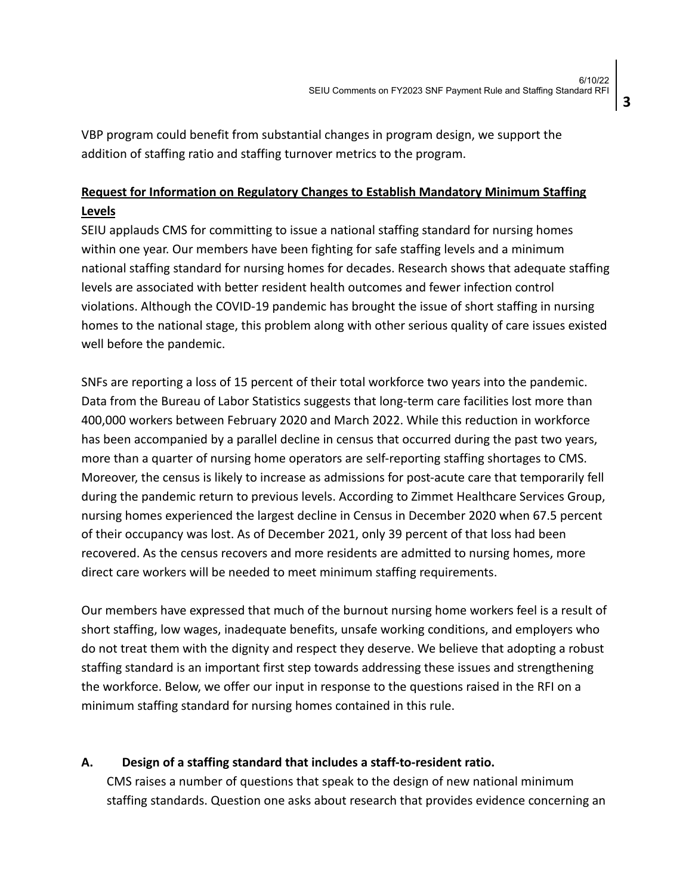**3**

VBP program could benefit from substantial changes in program design, we support the addition of staffing ratio and staffing turnover metrics to the program.

# **Request for Information on Regulatory Changes to Establish Mandatory Minimum Staffing Levels**

SEIU applauds CMS for committing to issue a national staffing standard for nursing homes within one year. Our members have been fighting for safe staffing levels and a minimum national staffing standard for nursing homes for decades. Research shows that adequate staffing levels are associated with better resident health outcomes and fewer infection control violations. Although the COVID-19 pandemic has brought the issue of short staffing in nursing homes to the national stage, this problem along with other serious quality of care issues existed well before the pandemic.

SNFs are reporting a loss of 15 percent of their total workforce two years into the pandemic. Data from the Bureau of Labor Statistics suggests that long-term care facilities lost more than 400,000 workers between February 2020 and March 2022. While this reduction in workforce has been accompanied by a parallel decline in census that occurred during the past two years, more than a quarter of nursing home operators are self-reporting staffing shortages to CMS. Moreover, the census is likely to increase as admissions for post-acute care that temporarily fell during the pandemic return to previous levels. According to Zimmet Healthcare Services Group, nursing homes experienced the largest decline in Census in December 2020 when 67.5 percent of their occupancy was lost. As of December 2021, only 39 percent of that loss had been recovered. As the census recovers and more residents are admitted to nursing homes, more direct care workers will be needed to meet minimum staffing requirements.

Our members have expressed that much of the burnout nursing home workers feel is a result of short staffing, low wages, inadequate benefits, unsafe working conditions, and employers who do not treat them with the dignity and respect they deserve. We believe that adopting a robust staffing standard is an important first step towards addressing these issues and strengthening the workforce. Below, we offer our input in response to the questions raised in the RFI on a minimum staffing standard for nursing homes contained in this rule.

## **A. Design of a staffing standard that includes a staff-to-resident ratio.**

CMS raises a number of questions that speak to the design of new national minimum staffing standards. Question one asks about research that provides evidence concerning an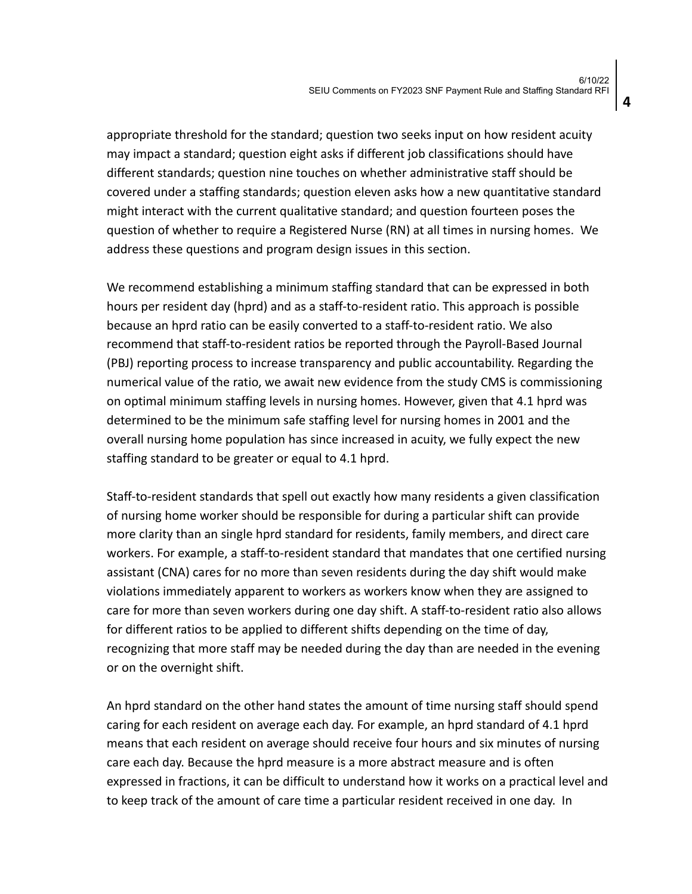appropriate threshold for the standard; question two seeks input on how resident acuity may impact a standard; question eight asks if different job classifications should have different standards; question nine touches on whether administrative staff should be covered under a staffing standards; question eleven asks how a new quantitative standard might interact with the current qualitative standard; and question fourteen poses the question of whether to require a Registered Nurse (RN) at all times in nursing homes. We address these questions and program design issues in this section.

We recommend establishing a minimum staffing standard that can be expressed in both hours per resident day (hprd) and as a staff-to-resident ratio. This approach is possible because an hprd ratio can be easily converted to a staff-to-resident ratio. We also recommend that staff-to-resident ratios be reported through the Payroll-Based Journal (PBJ) reporting process to increase transparency and public accountability. Regarding the numerical value of the ratio, we await new evidence from the study CMS is commissioning on optimal minimum staffing levels in nursing homes. However, given that 4.1 hprd was determined to be the minimum safe staffing level for nursing homes in 2001 and the overall nursing home population has since increased in acuity, we fully expect the new staffing standard to be greater or equal to 4.1 hprd.

Staff-to-resident standards that spell out exactly how many residents a given classification of nursing home worker should be responsible for during a particular shift can provide more clarity than an single hprd standard for residents, family members, and direct care workers. For example, a staff-to-resident standard that mandates that one certified nursing assistant (CNA) cares for no more than seven residents during the day shift would make violations immediately apparent to workers as workers know when they are assigned to care for more than seven workers during one day shift. A staff-to-resident ratio also allows for different ratios to be applied to different shifts depending on the time of day, recognizing that more staff may be needed during the day than are needed in the evening or on the overnight shift.

An hprd standard on the other hand states the amount of time nursing staff should spend caring for each resident on average each day. For example, an hprd standard of 4.1 hprd means that each resident on average should receive four hours and six minutes of nursing care each day. Because the hprd measure is a more abstract measure and is often expressed in fractions, it can be difficult to understand how it works on a practical level and to keep track of the amount of care time a particular resident received in one day. In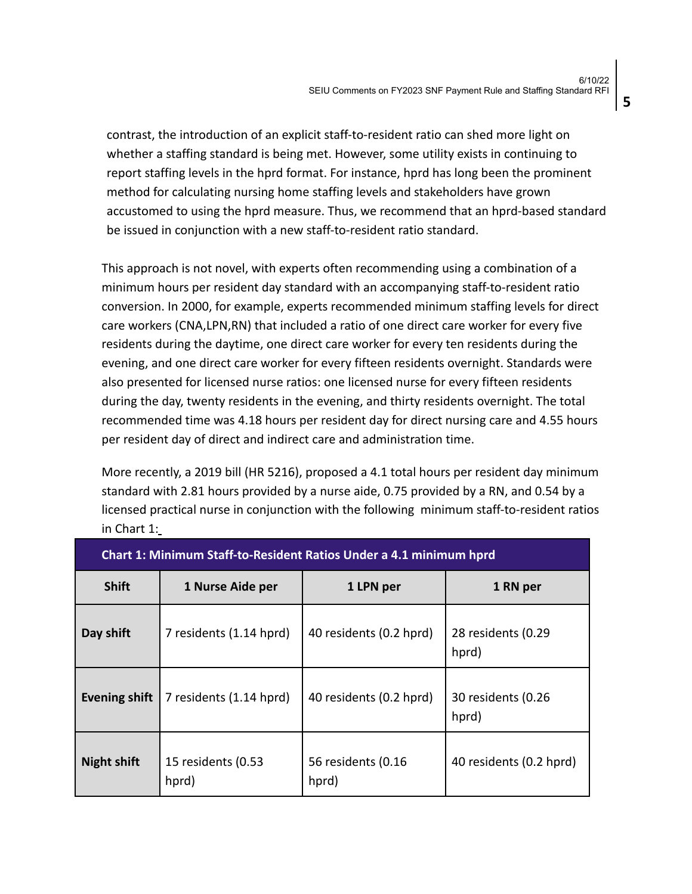contrast, the introduction of an explicit staff-to-resident ratio can shed more light on whether a staffing standard is being met. However, some utility exists in continuing to report staffing levels in the hprd format. For instance, hprd has long been the prominent method for calculating nursing home staffing levels and stakeholders have grown accustomed to using the hprd measure. Thus, we recommend that an hprd-based standard be issued in conjunction with a new staff-to-resident ratio standard.

This approach is not novel, with experts often recommending using a combination of a minimum hours per resident day standard with an accompanying staff-to-resident ratio conversion. In 2000, for example, experts recommended minimum staffing levels for direct care workers (CNA,LPN,RN) that included a ratio of one direct care worker for every five residents during the daytime, one direct care worker for every ten residents during the evening, and one direct care worker for every fifteen residents overnight. Standards were also presented for licensed nurse ratios: one licensed nurse for every fifteen residents during the day, twenty residents in the evening, and thirty residents overnight. The total recommended time was 4.18 hours per resident day for direct nursing care and 4.55 hours per resident day of direct and indirect care and administration time.

More recently, a 2019 bill (HR 5216), proposed a 4.1 total hours per resident day minimum standard with 2.81 hours provided by a nurse aide, 0.75 provided by a RN, and 0.54 by a licensed practical nurse in conjunction with the following minimum staff-to-resident ratios in Chart 1:

| Chart 1: Minimum Staff-to-Resident Ratios Under a 4.1 minimum hprd |                             |                             |                             |
|--------------------------------------------------------------------|-----------------------------|-----------------------------|-----------------------------|
| <b>Shift</b>                                                       | 1 Nurse Aide per            | 1 LPN per                   | 1 RN per                    |
| Day shift                                                          | 7 residents (1.14 hprd)     | 40 residents (0.2 hprd)     | 28 residents (0.29<br>hprd) |
| <b>Evening shift</b>                                               | 7 residents (1.14 hprd)     | 40 residents (0.2 hprd)     | 30 residents (0.26<br>hprd) |
| <b>Night shift</b>                                                 | 15 residents (0.53<br>hprd) | 56 residents (0.16<br>hprd) | 40 residents (0.2 hprd)     |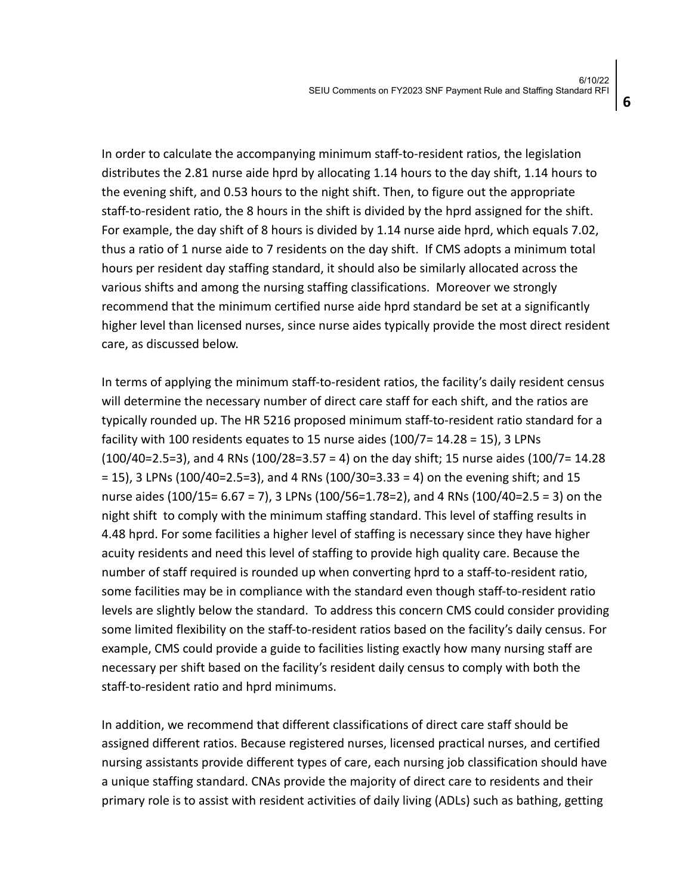In order to calculate the accompanying minimum staff-to-resident ratios, the legislation distributes the 2.81 nurse aide hprd by allocating 1.14 hours to the day shift, 1.14 hours to the evening shift, and 0.53 hours to the night shift. Then, to figure out the appropriate staff-to-resident ratio, the 8 hours in the shift is divided by the hprd assigned for the shift. For example, the day shift of 8 hours is divided by 1.14 nurse aide hprd, which equals 7.02, thus a ratio of 1 nurse aide to 7 residents on the day shift. If CMS adopts a minimum total hours per resident day staffing standard, it should also be similarly allocated across the various shifts and among the nursing staffing classifications. Moreover we strongly recommend that the minimum certified nurse aide hprd standard be set at a significantly higher level than licensed nurses, since nurse aides typically provide the most direct resident care, as discussed below.

In terms of applying the minimum staff-to-resident ratios, the facility's daily resident census will determine the necessary number of direct care staff for each shift, and the ratios are typically rounded up. The HR 5216 proposed minimum staff-to-resident ratio standard for a facility with 100 residents equates to 15 nurse aides (100/7= 14.28 = 15), 3 LPNs (100/40=2.5=3), and 4 RNs (100/28=3.57 = 4) on the day shift; 15 nurse aides (100/7= 14.28 = 15), 3 LPNs (100/40=2.5=3), and 4 RNs (100/30=3.33 = 4) on the evening shift; and 15 nurse aides (100/15= 6.67 = 7), 3 LPNs (100/56=1.78=2), and 4 RNs (100/40=2.5 = 3) on the night shift to comply with the minimum staffing standard. This level of staffing results in 4.48 hprd. For some facilities a higher level of staffing is necessary since they have higher acuity residents and need this level of staffing to provide high quality care. Because the number of staff required is rounded up when converting hprd to a staff-to-resident ratio, some facilities may be in compliance with the standard even though staff-to-resident ratio levels are slightly below the standard. To address this concern CMS could consider providing some limited flexibility on the staff-to-resident ratios based on the facility's daily census. For example, CMS could provide a guide to facilities listing exactly how many nursing staff are necessary per shift based on the facility's resident daily census to comply with both the staff-to-resident ratio and hprd minimums.

In addition, we recommend that different classifications of direct care staff should be assigned different ratios. Because registered nurses, licensed practical nurses, and certified nursing assistants provide different types of care, each nursing job classification should have a unique staffing standard. CNAs provide the majority of direct care to residents and their primary role is to assist with resident activities of daily living (ADLs) such as bathing, getting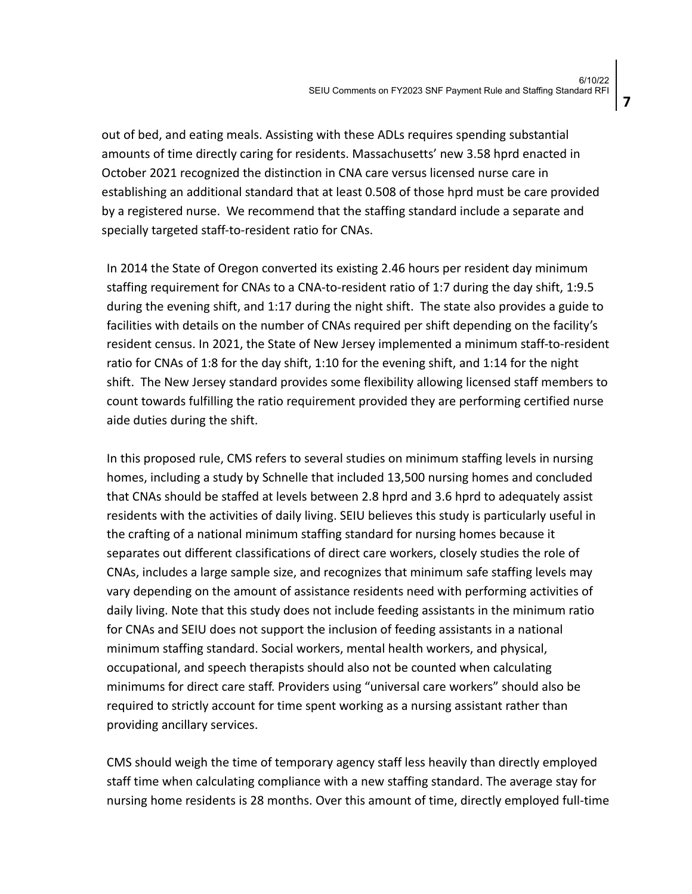**7**

out of bed, and eating meals. Assisting with these ADLs requires spending substantial amounts of time directly caring for residents. Massachusetts' new 3.58 hprd enacted in October 2021 recognized the distinction in CNA care versus licensed nurse care in establishing an additional standard that at least 0.508 of those hprd must be care provided by a registered nurse. We recommend that the staffing standard include a separate and specially targeted staff-to-resident ratio for CNAs.

In 2014 the State of Oregon converted its existing 2.46 hours per resident day minimum staffing requirement for CNAs to a CNA-to-resident ratio of 1:7 during the day shift, 1:9.5 during the evening shift, and 1:17 during the night shift. The state also provides a guide to facilities with details on the number of CNAs required per shift depending on the facility's resident census. In 2021, the State of New Jersey implemented a minimum staff-to-resident ratio for CNAs of 1:8 for the day shift, 1:10 for the evening shift, and 1:14 for the night shift. The New Jersey standard provides some flexibility allowing licensed staff members to count towards fulfilling the ratio requirement provided they are performing certified nurse aide duties during the shift.

In this proposed rule, CMS refers to several studies on minimum staffing levels in nursing homes, including a study by Schnelle that included 13,500 nursing homes and concluded that CNAs should be staffed at levels between 2.8 hprd and 3.6 hprd to adequately assist residents with the activities of daily living. SEIU believes this study is particularly useful in the crafting of a national minimum staffing standard for nursing homes because it separates out different classifications of direct care workers, closely studies the role of CNAs, includes a large sample size, and recognizes that minimum safe staffing levels may vary depending on the amount of assistance residents need with performing activities of daily living. Note that this study does not include feeding assistants in the minimum ratio for CNAs and SEIU does not support the inclusion of feeding assistants in a national minimum staffing standard. Social workers, mental health workers, and physical, occupational, and speech therapists should also not be counted when calculating minimums for direct care staff. Providers using "universal care workers" should also be required to strictly account for time spent working as a nursing assistant rather than providing ancillary services.

CMS should weigh the time of temporary agency staff less heavily than directly employed staff time when calculating compliance with a new staffing standard. The average stay for nursing home residents is 28 months. Over this amount of time, directly employed full-time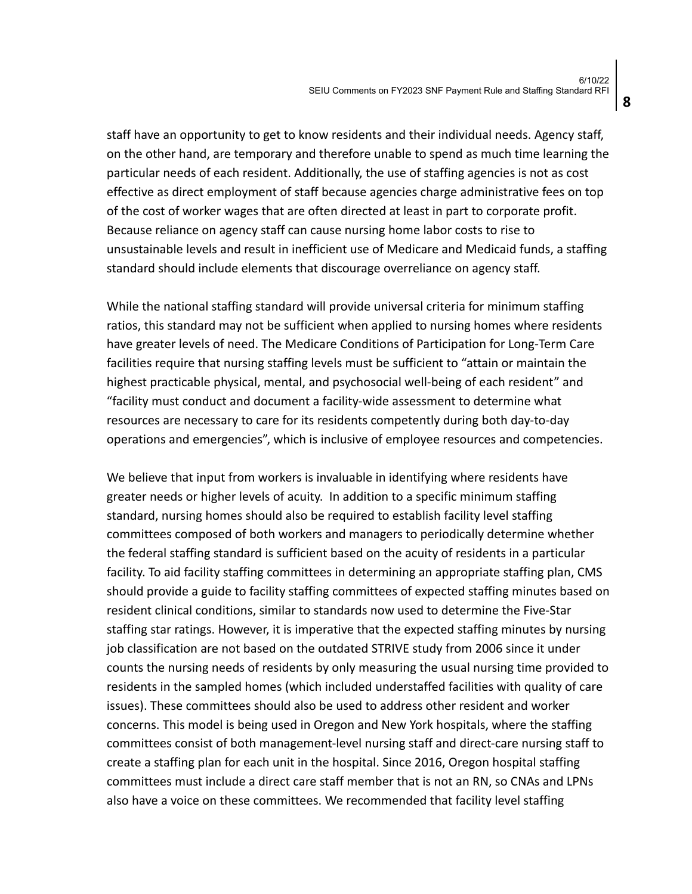staff have an opportunity to get to know residents and their individual needs. Agency staff, on the other hand, are temporary and therefore unable to spend as much time learning the particular needs of each resident. Additionally, the use of staffing agencies is not as cost effective as direct employment of staff because agencies charge administrative fees on top of the cost of worker wages that are often directed at least in part to corporate profit. Because reliance on agency staff can cause nursing home labor costs to rise to unsustainable levels and result in inefficient use of Medicare and Medicaid funds, a staffing standard should include elements that discourage overreliance on agency staff.

While the national staffing standard will provide universal criteria for minimum staffing ratios, this standard may not be sufficient when applied to nursing homes where residents have greater levels of need. The Medicare Conditions of Participation for Long-Term Care facilities require that nursing staffing levels must be sufficient to "attain or maintain the highest practicable physical, mental, and psychosocial well-being of each resident" and "facility must conduct and document a facility-wide assessment to determine what resources are necessary to care for its residents competently during both day-to-day operations and emergencies", which is inclusive of employee resources and competencies.

We believe that input from workers is invaluable in identifying where residents have greater needs or higher levels of acuity. In addition to a specific minimum staffing standard, nursing homes should also be required to establish facility level staffing committees composed of both workers and managers to periodically determine whether the federal staffing standard is sufficient based on the acuity of residents in a particular facility. To aid facility staffing committees in determining an appropriate staffing plan, CMS should provide a guide to facility staffing committees of expected staffing minutes based on resident clinical conditions, similar to standards now used to determine the Five-Star staffing star ratings. However, it is imperative that the expected staffing minutes by nursing job classification are not based on the outdated STRIVE study from 2006 since it under counts the nursing needs of residents by only measuring the usual nursing time provided to residents in the sampled homes (which included understaffed facilities with quality of care issues). These committees should also be used to address other resident and worker concerns. This model is being used in Oregon and New York hospitals, where the staffing committees consist of both management-level nursing staff and direct-care nursing staff to create a staffing plan for each unit in the hospital. Since 2016, Oregon hospital staffing committees must include a direct care staff member that is not an RN, so CNAs and LPNs also have a voice on these committees. We recommended that facility level staffing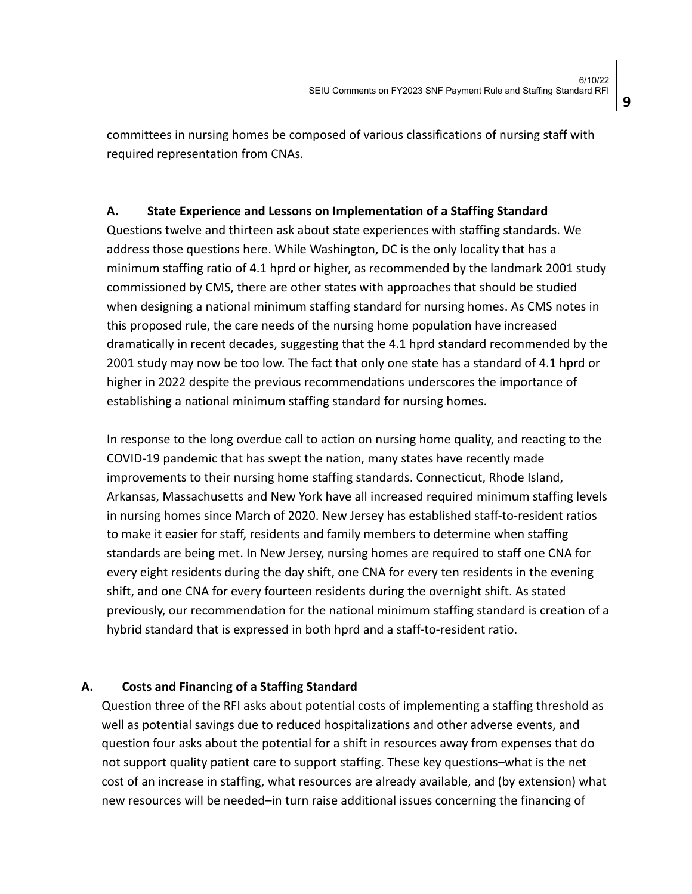committees in nursing homes be composed of various classifications of nursing staff with required representation from CNAs.

### **A. State Experience and Lessons on Implementation of a Staffing Standard**

Questions twelve and thirteen ask about state experiences with staffing standards. We address those questions here. While Washington, DC is the only locality that has a minimum staffing ratio of 4.1 hprd or higher, as recommended by the landmark 2001 study commissioned by CMS, there are other states with approaches that should be studied when designing a national minimum staffing standard for nursing homes. As CMS notes in this proposed rule, the care needs of the nursing home population have increased dramatically in recent decades, suggesting that the 4.1 hprd standard recommended by the 2001 study may now be too low. The fact that only one state has a standard of 4.1 hprd or higher in 2022 despite the previous recommendations underscores the importance of establishing a national minimum staffing standard for nursing homes.

In response to the long overdue call to action on nursing home quality, and reacting to the COVID-19 pandemic that has swept the nation, many states have recently made improvements to their nursing home staffing standards. Connecticut, Rhode Island, Arkansas, Massachusetts and New York have all increased required minimum staffing levels in nursing homes since March of 2020. New Jersey has established staff-to-resident ratios to make it easier for staff, residents and family members to determine when staffing standards are being met. In New Jersey, nursing homes are required to staff one CNA for every eight residents during the day shift, one CNA for every ten residents in the evening shift, and one CNA for every fourteen residents during the overnight shift. As stated previously, our recommendation for the national minimum staffing standard is creation of a hybrid standard that is expressed in both hprd and a staff-to-resident ratio.

#### **A. Costs and Financing of a Staffing Standard**

Question three of the RFI asks about potential costs of implementing a staffing threshold as well as potential savings due to reduced hospitalizations and other adverse events, and question four asks about the potential for a shift in resources away from expenses that do not support quality patient care to support staffing. These key questions–what is the net cost of an increase in staffing, what resources are already available, and (by extension) what new resources will be needed–in turn raise additional issues concerning the financing of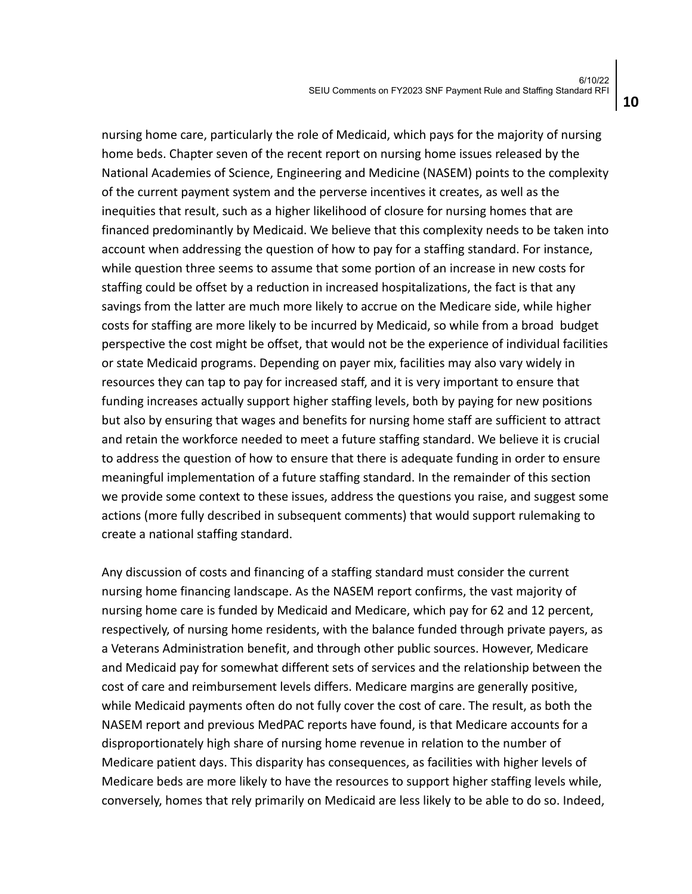nursing home care, particularly the role of Medicaid, which pays for the majority of nursing home beds. Chapter seven of the recent report on nursing home issues released by the National Academies of Science, Engineering and Medicine (NASEM) points to the complexity of the current payment system and the perverse incentives it creates, as well as the inequities that result, such as a higher likelihood of closure for nursing homes that are financed predominantly by Medicaid. We believe that this complexity needs to be taken into account when addressing the question of how to pay for a staffing standard. For instance, while question three seems to assume that some portion of an increase in new costs for staffing could be offset by a reduction in increased hospitalizations, the fact is that any savings from the latter are much more likely to accrue on the Medicare side, while higher costs for staffing are more likely to be incurred by Medicaid, so while from a broad budget perspective the cost might be offset, that would not be the experience of individual facilities or state Medicaid programs. Depending on payer mix, facilities may also vary widely in resources they can tap to pay for increased staff, and it is very important to ensure that funding increases actually support higher staffing levels, both by paying for new positions but also by ensuring that wages and benefits for nursing home staff are sufficient to attract and retain the workforce needed to meet a future staffing standard. We believe it is crucial to address the question of how to ensure that there is adequate funding in order to ensure meaningful implementation of a future staffing standard. In the remainder of this section we provide some context to these issues, address the questions you raise, and suggest some actions (more fully described in subsequent comments) that would support rulemaking to create a national staffing standard.

Any discussion of costs and financing of a staffing standard must consider the current nursing home financing landscape. As the NASEM report confirms, the vast majority of nursing home care is funded by Medicaid and Medicare, which pay for 62 and 12 percent, respectively, of nursing home residents, with the balance funded through private payers, as a Veterans Administration benefit, and through other public sources. However, Medicare and Medicaid pay for somewhat different sets of services and the relationship between the cost of care and reimbursement levels differs. Medicare margins are generally positive, while Medicaid payments often do not fully cover the cost of care. The result, as both the NASEM report and previous MedPAC reports have found, is that Medicare accounts for a disproportionately high share of nursing home revenue in relation to the number of Medicare patient days. This disparity has consequences, as facilities with higher levels of Medicare beds are more likely to have the resources to support higher staffing levels while, conversely, homes that rely primarily on Medicaid are less likely to be able to do so. Indeed,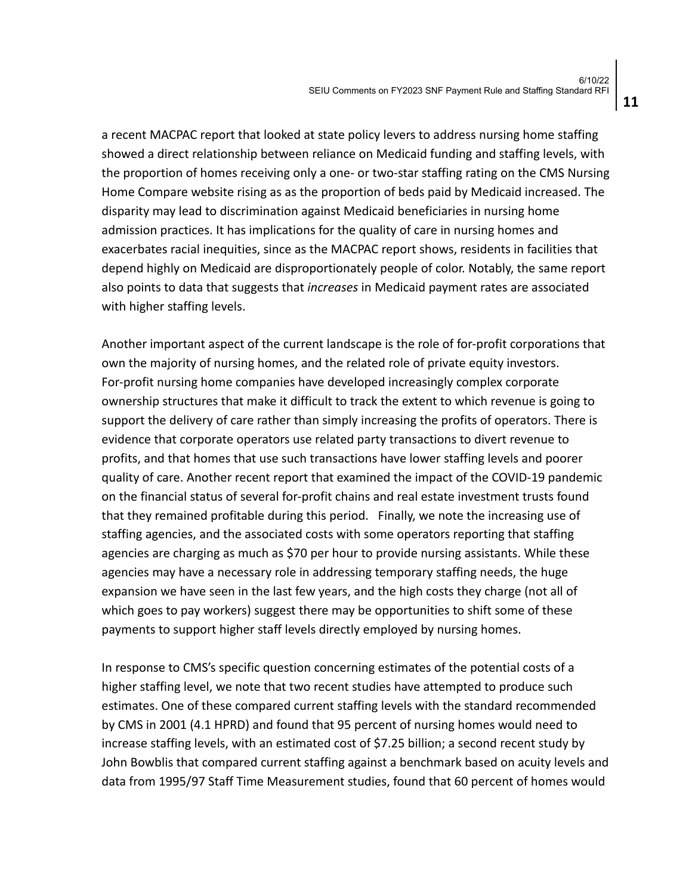a recent MACPAC report that looked at state policy levers to address nursing home staffing showed a direct relationship between reliance on Medicaid funding and staffing levels, with the proportion of homes receiving only a one- or two-star staffing rating on the CMS Nursing Home Compare website rising as as the proportion of beds paid by Medicaid increased. The disparity may lead to discrimination against Medicaid beneficiaries in nursing home admission practices. It has implications for the quality of care in nursing homes and exacerbates racial inequities, since as the MACPAC report shows, residents in facilities that depend highly on Medicaid are disproportionately people of color. Notably, the same report also points to data that suggests that *increases* in Medicaid payment rates are associated with higher staffing levels.

Another important aspect of the current landscape is the role of for-profit corporations that own the majority of nursing homes, and the related role of private equity investors. For-profit nursing home companies have developed increasingly complex corporate ownership structures that make it difficult to track the extent to which revenue is going to support the delivery of care rather than simply increasing the profits of operators. There is evidence that corporate operators use related party transactions to divert revenue to profits, and that homes that use such transactions have lower staffing levels and poorer quality of care. Another recent report that examined the impact of the COVID-19 pandemic on the financial status of several for-profit chains and real estate investment trusts found that they remained profitable during this period. Finally, we note the increasing use of staffing agencies, and the associated costs with some operators reporting that staffing agencies are charging as much as \$70 per hour to provide nursing assistants. While these agencies may have a necessary role in addressing temporary staffing needs, the huge expansion we have seen in the last few years, and the high costs they charge (not all of which goes to pay workers) suggest there may be opportunities to shift some of these payments to support higher staff levels directly employed by nursing homes.

In response to CMS's specific question concerning estimates of the potential costs of a higher staffing level, we note that two recent studies have attempted to produce such estimates. One of these compared current staffing levels with the standard recommended by CMS in 2001 (4.1 HPRD) and found that 95 percent of nursing homes would need to increase staffing levels, with an estimated cost of \$7.25 billion; a second recent study by John Bowblis that compared current staffing against a benchmark based on acuity levels and data from 1995/97 Staff Time Measurement studies, found that 60 percent of homes would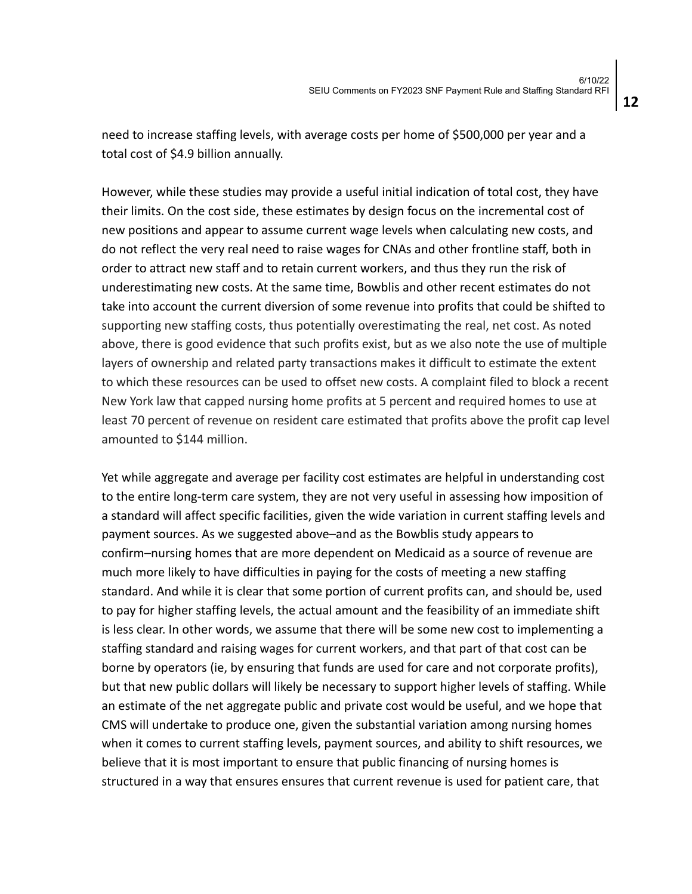need to increase staffing levels, with average costs per home of \$500,000 per year and a total cost of \$4.9 billion annually.

However, while these studies may provide a useful initial indication of total cost, they have their limits. On the cost side, these estimates by design focus on the incremental cost of new positions and appear to assume current wage levels when calculating new costs, and do not reflect the very real need to raise wages for CNAs and other frontline staff, both in order to attract new staff and to retain current workers, and thus they run the risk of underestimating new costs. At the same time, Bowblis and other recent estimates do not take into account the current diversion of some revenue into profits that could be shifted to supporting new staffing costs, thus potentially overestimating the real, net cost. As noted above, there is good evidence that such profits exist, but as we also note the use of multiple layers of ownership and related party transactions makes it difficult to estimate the extent to which these resources can be used to offset new costs. A complaint filed to block a recent New York law that capped nursing home profits at 5 percent and required homes to use at least 70 percent of revenue on resident care estimated that profits above the profit cap level amounted to \$144 million.

Yet while aggregate and average per facility cost estimates are helpful in understanding cost to the entire long-term care system, they are not very useful in assessing how imposition of a standard will affect specific facilities, given the wide variation in current staffing levels and payment sources. As we suggested above–and as the Bowblis study appears to confirm–nursing homes that are more dependent on Medicaid as a source of revenue are much more likely to have difficulties in paying for the costs of meeting a new staffing standard. And while it is clear that some portion of current profits can, and should be, used to pay for higher staffing levels, the actual amount and the feasibility of an immediate shift is less clear. In other words, we assume that there will be some new cost to implementing a staffing standard and raising wages for current workers, and that part of that cost can be borne by operators (ie, by ensuring that funds are used for care and not corporate profits), but that new public dollars will likely be necessary to support higher levels of staffing. While an estimate of the net aggregate public and private cost would be useful, and we hope that CMS will undertake to produce one, given the substantial variation among nursing homes when it comes to current staffing levels, payment sources, and ability to shift resources, we believe that it is most important to ensure that public financing of nursing homes is structured in a way that ensures ensures that current revenue is used for patient care, that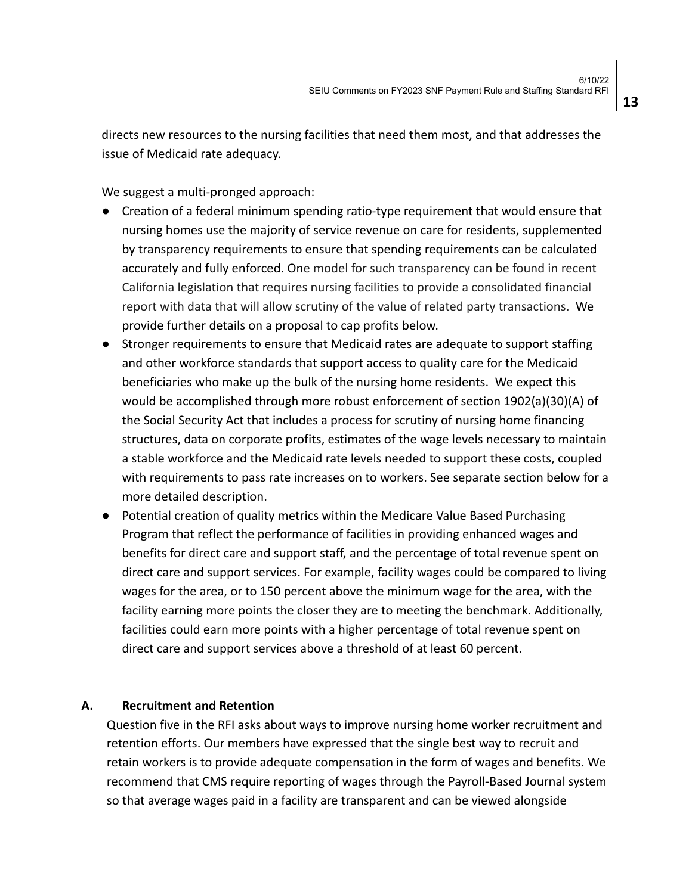directs new resources to the nursing facilities that need them most, and that addresses the issue of Medicaid rate adequacy.

We suggest a multi-pronged approach:

- Creation of a federal minimum spending ratio-type requirement that would ensure that nursing homes use the majority of service revenue on care for residents, supplemented by transparency requirements to ensure that spending requirements can be calculated accurately and fully enforced. One model for such transparency can be found in recent California legislation that requires nursing facilities to provide a consolidated financial report with data that will allow scrutiny of the value of related party transactions. We provide further details on a proposal to cap profits below.
- Stronger requirements to ensure that Medicaid rates are adequate to support staffing and other workforce standards that support access to quality care for the Medicaid beneficiaries who make up the bulk of the nursing home residents. We expect this would be accomplished through more robust enforcement of section 1902(a)(30)(A) of the Social Security Act that includes a process for scrutiny of nursing home financing structures, data on corporate profits, estimates of the wage levels necessary to maintain a stable workforce and the Medicaid rate levels needed to support these costs, coupled with requirements to pass rate increases on to workers. See separate section below for a more detailed description.
- Potential creation of quality metrics within the Medicare Value Based Purchasing Program that reflect the performance of facilities in providing enhanced wages and benefits for direct care and support staff, and the percentage of total revenue spent on direct care and support services. For example, facility wages could be compared to living wages for the area, or to 150 percent above the minimum wage for the area, with the facility earning more points the closer they are to meeting the benchmark. Additionally, facilities could earn more points with a higher percentage of total revenue spent on direct care and support services above a threshold of at least 60 percent.

#### **A. Recruitment and Retention**

Question five in the RFI asks about ways to improve nursing home worker recruitment and retention efforts. Our members have expressed that the single best way to recruit and retain workers is to provide adequate compensation in the form of wages and benefits. We recommend that CMS require reporting of wages through the Payroll-Based Journal system so that average wages paid in a facility are transparent and can be viewed alongside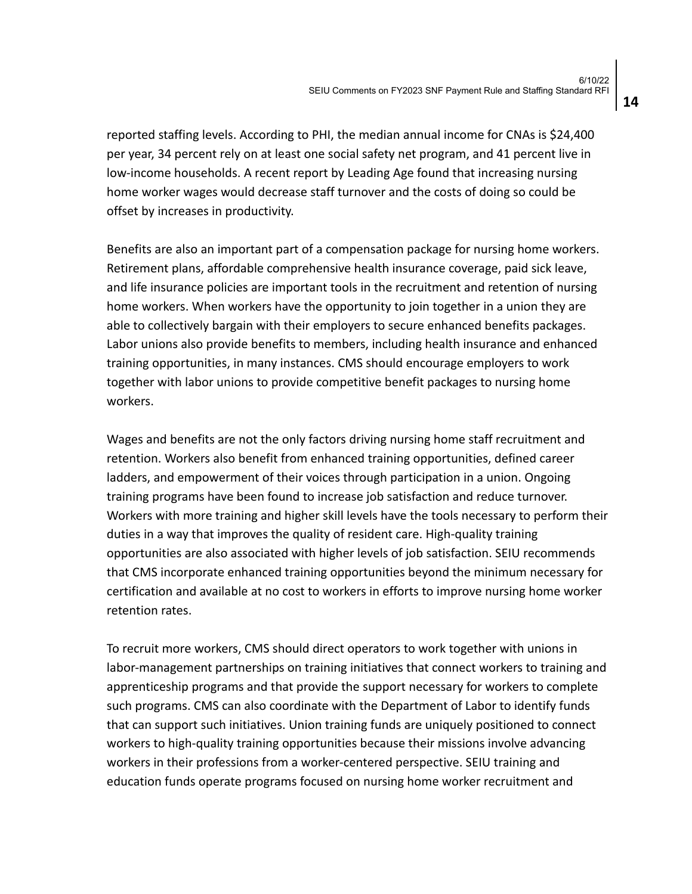reported staffing levels. According to PHI, the median annual income for CNAs is \$24,400 per year, 34 percent rely on at least one social safety net program, and 41 percent live in low-income households. A recent report by Leading Age found that increasing nursing home worker wages would decrease staff turnover and the costs of doing so could be offset by increases in productivity.

Benefits are also an important part of a compensation package for nursing home workers. Retirement plans, affordable comprehensive health insurance coverage, paid sick leave, and life insurance policies are important tools in the recruitment and retention of nursing home workers. When workers have the opportunity to join together in a union they are able to collectively bargain with their employers to secure enhanced benefits packages. Labor unions also provide benefits to members, including health insurance and enhanced training opportunities, in many instances. CMS should encourage employers to work together with labor unions to provide competitive benefit packages to nursing home workers.

Wages and benefits are not the only factors driving nursing home staff recruitment and retention. Workers also benefit from enhanced training opportunities, defined career ladders, and empowerment of their voices through participation in a union. Ongoing training programs have been found to increase job satisfaction and reduce turnover. Workers with more training and higher skill levels have the tools necessary to perform their duties in a way that improves the quality of resident care. High-quality training opportunities are also associated with higher levels of job satisfaction. SEIU recommends that CMS incorporate enhanced training opportunities beyond the minimum necessary for certification and available at no cost to workers in efforts to improve nursing home worker retention rates.

To recruit more workers, CMS should direct operators to work together with unions in labor-management partnerships on training initiatives that connect workers to training and apprenticeship programs and that provide the support necessary for workers to complete such programs. CMS can also coordinate with the Department of Labor to identify funds that can support such initiatives. Union training funds are uniquely positioned to connect workers to high-quality training opportunities because their missions involve advancing workers in their professions from a worker-centered perspective. SEIU training and education funds operate programs focused on nursing home worker recruitment and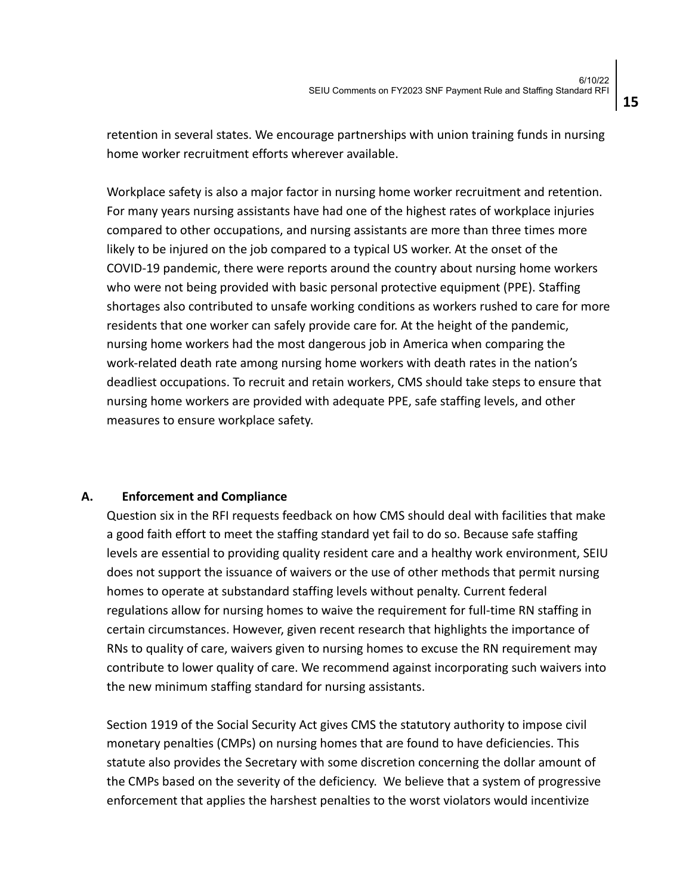retention in several states. We encourage partnerships with union training funds in nursing home worker recruitment efforts wherever available.

Workplace safety is also a major factor in nursing home worker recruitment and retention. For many years nursing assistants have had one of the highest rates of workplace injuries compared to other occupations, and nursing assistants are more than three times more likely to be injured on the job compared to a typical US worker. At the onset of the COVID-19 pandemic, there were reports around the country about nursing home workers who were not being provided with basic personal protective equipment (PPE). Staffing shortages also contributed to unsafe working conditions as workers rushed to care for more residents that one worker can safely provide care for. At the height of the pandemic, nursing home workers had the most dangerous job in America when comparing the work-related death rate among nursing home workers with death rates in the nation's deadliest occupations. To recruit and retain workers, CMS should take steps to ensure that nursing home workers are provided with adequate PPE, safe staffing levels, and other measures to ensure workplace safety.

#### **A. Enforcement and Compliance**

Question six in the RFI requests feedback on how CMS should deal with facilities that make a good faith effort to meet the staffing standard yet fail to do so. Because safe staffing levels are essential to providing quality resident care and a healthy work environment, SEIU does not support the issuance of waivers or the use of other methods that permit nursing homes to operate at substandard staffing levels without penalty. Current federal regulations allow for nursing homes to waive the requirement for full-time RN staffing in certain circumstances. However, given recent research that highlights the importance of RNs to quality of care, waivers given to nursing homes to excuse the RN requirement may contribute to lower quality of care. We recommend against incorporating such waivers into the new minimum staffing standard for nursing assistants.

Section 1919 of the Social Security Act gives CMS the statutory authority to impose civil monetary penalties (CMPs) on nursing homes that are found to have deficiencies. This statute also provides the Secretary with some discretion concerning the dollar amount of the CMPs based on the severity of the deficiency. We believe that a system of progressive enforcement that applies the harshest penalties to the worst violators would incentivize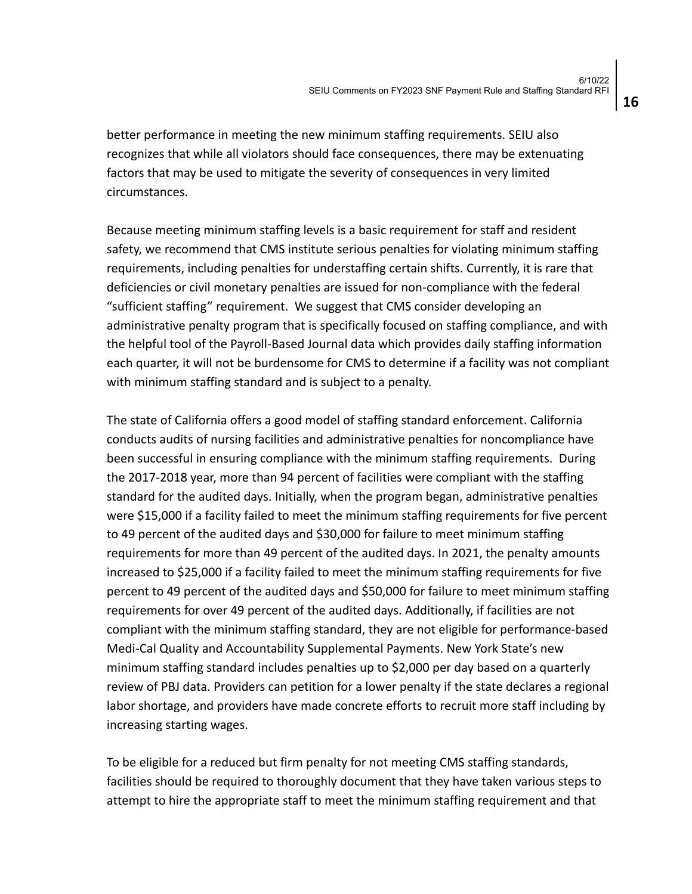better performance in meeting the new minimum staffing requirements. SEIU also recognizes that while all violators should face consequences, there may be extenuating factors that may be used to mitigate the severity of consequences in very limited circumstances.

Because meeting minimum staffing levels is a basic requirement for staff and resident safety, we recommend that CMS institute serious penalties for violating minimum staffing requirements, including penalties for understaffing certain shifts. Currently, it is rare that deficiencies or civil monetary penalties are issued for non-compliance with the federal "sufficient staffing" requirement. We suggest that CMS consider developing an administrative penalty program that is specifically focused on staffing compliance, and with the helpful tool of the Payroll-Based Journal data which provides daily staffing information each quarter, it will not be burdensome for CMS to determine if a facility was not compliant with minimum staffing standard and is subject to a penalty.

The state of California offers a good model of staffing standard enforcement. California conducts audits of nursing facilities and administrative penalties for noncompliance have been successful in ensuring compliance with the minimum staffing requirements. During the 2017-2018 year, more than 94 percent of facilities were compliant with the staffing standard for the audited days. Initially, when the program began, administrative penalties were \$15,000 if a facility failed to meet the minimum staffing requirements for five percent to 49 percent of the audited days and \$30,000 for failure to meet minimum staffing requirements for more than 49 percent of the audited days. In 2021, the penalty amounts increased to \$25,000 if a facility failed to meet the minimum staffing requirements for five percent to 49 percent of the audited days and \$50,000 for failure to meet minimum staffing requirements for over 49 percent of the audited days. Additionally, if facilities are not compliant with the minimum staffing standard, they are not eligible for performance-based Medi-Cal Quality and Accountability Supplemental Payments. New York State's new minimum staffing standard includes penalties up to \$2,000 per day based on a quarterly review of PBJ data. Providers can petition for a lower penalty if the state declares a regional labor shortage, and providers have made concrete efforts to recruit more staff including by increasing starting wages.

To be eligible for a reduced but firm penalty for not meeting CMS staffing standards, facilities should be required to thoroughly document that they have taken various steps to attempt to hire the appropriate staff to meet the minimum staffing requirement and that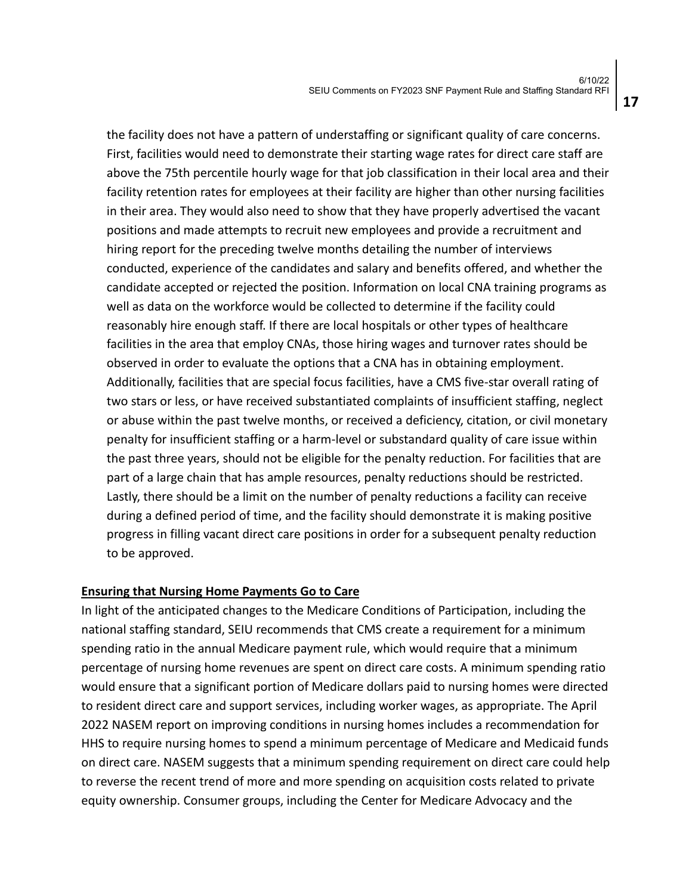the facility does not have a pattern of understaffing or significant quality of care concerns. First, facilities would need to demonstrate their starting wage rates for direct care staff are above the 75th percentile hourly wage for that job classification in their local area and their facility retention rates for employees at their facility are higher than other nursing facilities in their area. They would also need to show that they have properly advertised the vacant positions and made attempts to recruit new employees and provide a recruitment and hiring report for the preceding twelve months detailing the number of interviews conducted, experience of the candidates and salary and benefits offered, and whether the candidate accepted or rejected the position. Information on local CNA training programs as well as data on the workforce would be collected to determine if the facility could reasonably hire enough staff. If there are local hospitals or other types of healthcare facilities in the area that employ CNAs, those hiring wages and turnover rates should be observed in order to evaluate the options that a CNA has in obtaining employment. Additionally, facilities that are special focus facilities, have a CMS five-star overall rating of two stars or less, or have received substantiated complaints of insufficient staffing, neglect or abuse within the past twelve months, or received a deficiency, citation, or civil monetary penalty for insufficient staffing or a harm-level or substandard quality of care issue within the past three years, should not be eligible for the penalty reduction. For facilities that are part of a large chain that has ample resources, penalty reductions should be restricted. Lastly, there should be a limit on the number of penalty reductions a facility can receive during a defined period of time, and the facility should demonstrate it is making positive progress in filling vacant direct care positions in order for a subsequent penalty reduction to be approved.

#### **Ensuring that Nursing Home Payments Go to Care**

In light of the anticipated changes to the Medicare Conditions of Participation, including the national staffing standard, SEIU recommends that CMS create a requirement for a minimum spending ratio in the annual Medicare payment rule, which would require that a minimum percentage of nursing home revenues are spent on direct care costs. A minimum spending ratio would ensure that a significant portion of Medicare dollars paid to nursing homes were directed to resident direct care and support services, including worker wages, as appropriate. The April 2022 NASEM report on improving conditions in nursing homes includes a recommendation for HHS to require nursing homes to spend a minimum percentage of Medicare and Medicaid funds on direct care. NASEM suggests that a minimum spending requirement on direct care could help to reverse the recent trend of more and more spending on acquisition costs related to private equity ownership. Consumer groups, including the Center for Medicare Advocacy and the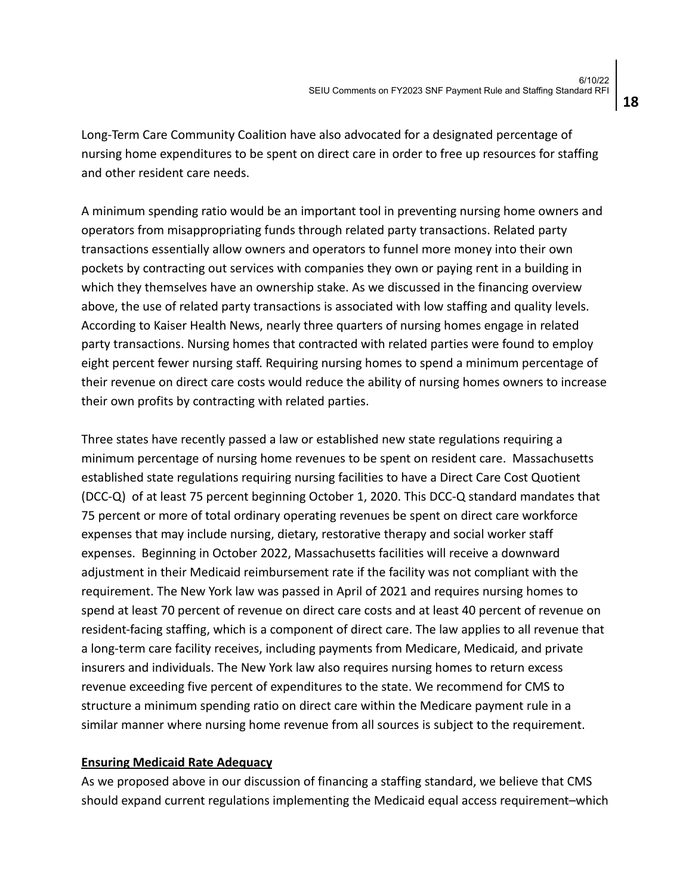Long-Term Care Community Coalition have also advocated for a designated percentage of nursing home expenditures to be spent on direct care in order to free up resources for staffing and other resident care needs.

A minimum spending ratio would be an important tool in preventing nursing home owners and operators from misappropriating funds through related party transactions. Related party transactions essentially allow owners and operators to funnel more money into their own pockets by contracting out services with companies they own or paying rent in a building in which they themselves have an ownership stake. As we discussed in the financing overview above, the use of related party transactions is associated with low staffing and quality levels. According to Kaiser Health News, nearly three quarters of nursing homes engage in related party transactions. Nursing homes that contracted with related parties were found to employ eight percent fewer nursing staff. Requiring nursing homes to spend a minimum percentage of their revenue on direct care costs would reduce the ability of nursing homes owners to increase their own profits by contracting with related parties.

Three states have recently passed a law or established new state regulations requiring a minimum percentage of nursing home revenues to be spent on resident care. Massachusetts established state regulations requiring nursing facilities to have a Direct Care Cost Quotient (DCC-Q) of at least 75 percent beginning October 1, 2020. This DCC-Q standard mandates that 75 percent or more of total ordinary operating revenues be spent on direct care workforce expenses that may include nursing, dietary, restorative therapy and social worker staff expenses. Beginning in October 2022, Massachusetts facilities will receive a downward adjustment in their Medicaid reimbursement rate if the facility was not compliant with the requirement. The New York law was passed in April of 2021 and requires nursing homes to spend at least 70 percent of revenue on direct care costs and at least 40 percent of revenue on resident-facing staffing, which is a component of direct care. The law applies to all revenue that a long-term care facility receives, including payments from Medicare, Medicaid, and private insurers and individuals. The New York law also requires nursing homes to return excess revenue exceeding five percent of expenditures to the state. We recommend for CMS to structure a minimum spending ratio on direct care within the Medicare payment rule in a similar manner where nursing home revenue from all sources is subject to the requirement.

#### **Ensuring Medicaid Rate Adequacy**

As we proposed above in our discussion of financing a staffing standard, we believe that CMS should expand current regulations implementing the Medicaid equal access requirement–which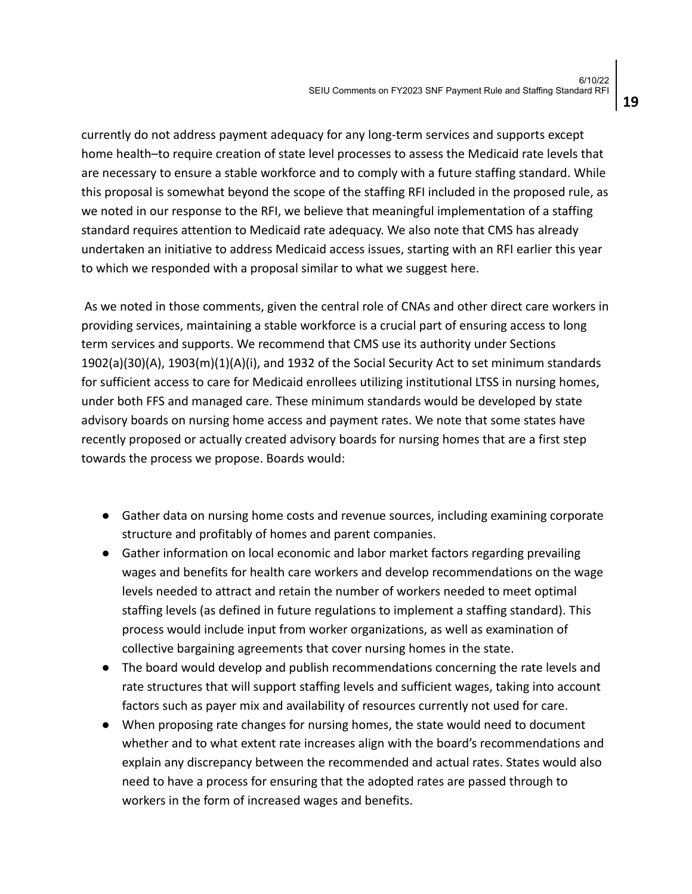currently do not address payment adequacy for any long-term services and supports except home health–to require creation of state level processes to assess the Medicaid rate levels that are necessary to ensure a stable workforce and to comply with a future staffing standard. While this proposal is somewhat beyond the scope of the staffing RFI included in the proposed rule, as we noted in our response to the RFI, we believe that meaningful implementation of a staffing standard requires attention to Medicaid rate adequacy. We also note that CMS has already undertaken an initiative to address Medicaid access issues, starting with an RFI earlier this year to which we responded with a proposal similar to what we suggest here.

As we noted in those comments, given the central role of CNAs and other direct care workers in providing services, maintaining a stable workforce is a crucial part of ensuring access to long term services and supports. We recommend that CMS use its authority under Sections 1902(a)(30)(A), 1903(m)(1)(A)(i), and 1932 of the Social Security Act to set minimum standards for sufficient access to care for Medicaid enrollees utilizing institutional LTSS in nursing homes, under both FFS and managed care. These minimum standards would be developed by state advisory boards on nursing home access and payment rates. We note that some states have recently proposed or actually created advisory boards for nursing homes that are a first step towards the process we propose. Boards would:

- Gather data on nursing home costs and revenue sources, including examining corporate structure and profitably of homes and parent companies.
- Gather information on local economic and labor market factors regarding prevailing wages and benefits for health care workers and develop recommendations on the wage levels needed to attract and retain the number of workers needed to meet optimal staffing levels (as defined in future regulations to implement a staffing standard). This process would include input from worker organizations, as well as examination of collective bargaining agreements that cover nursing homes in the state.
- The board would develop and publish recommendations concerning the rate levels and rate structures that will support staffing levels and sufficient wages, taking into account factors such as payer mix and availability of resources currently not used for care.
- When proposing rate changes for nursing homes, the state would need to document whether and to what extent rate increases align with the board's recommendations and explain any discrepancy between the recommended and actual rates. States would also need to have a process for ensuring that the adopted rates are passed through to workers in the form of increased wages and benefits.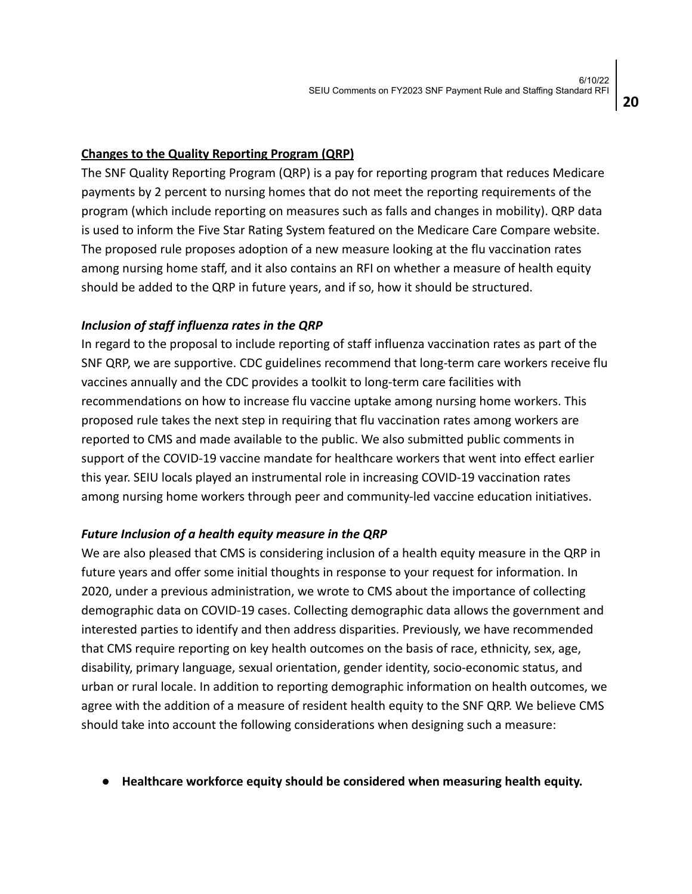#### **Changes to the Quality Reporting Program (QRP)**

The SNF Quality Reporting Program (QRP) is a pay for reporting program that reduces Medicare payments by 2 percent to nursing homes that do not meet the reporting requirements of the program (which include reporting on measures such as falls and changes in mobility). QRP data is used to inform the Five Star Rating System featured on the Medicare Care Compare website. The proposed rule proposes adoption of a new measure looking at the flu vaccination rates among nursing home staff, and it also contains an RFI on whether a measure of health equity should be added to the QRP in future years, and if so, how it should be structured.

### *Inclusion of staff influenza rates in the QRP*

In regard to the proposal to include reporting of staff influenza vaccination rates as part of the SNF QRP, we are supportive. CDC guidelines recommend that long-term care workers receive flu vaccines annually and the CDC provides a toolkit to long-term care facilities with recommendations on how to increase flu vaccine uptake among nursing home workers. This proposed rule takes the next step in requiring that flu vaccination rates among workers are reported to CMS and made available to the public. We also submitted public comments in support of the COVID-19 vaccine mandate for healthcare workers that went into effect earlier this year. SEIU locals played an instrumental role in increasing COVID-19 vaccination rates among nursing home workers through peer and community-led vaccine education initiatives.

## *Future Inclusion of a health equity measure in the QRP*

We are also pleased that CMS is considering inclusion of a health equity measure in the QRP in future years and offer some initial thoughts in response to your request for information. In 2020, under a previous administration, we wrote to CMS about the importance of collecting demographic data on COVID-19 cases. Collecting demographic data allows the government and interested parties to identify and then address disparities. Previously, we have recommended that CMS require reporting on key health outcomes on the basis of race, ethnicity, sex, age, disability, primary language, sexual orientation, gender identity, socio-economic status, and urban or rural locale. In addition to reporting demographic information on health outcomes, we agree with the addition of a measure of resident health equity to the SNF QRP. We believe CMS should take into account the following considerations when designing such a measure:

**● Healthcare workforce equity should be considered when measuring health equity.**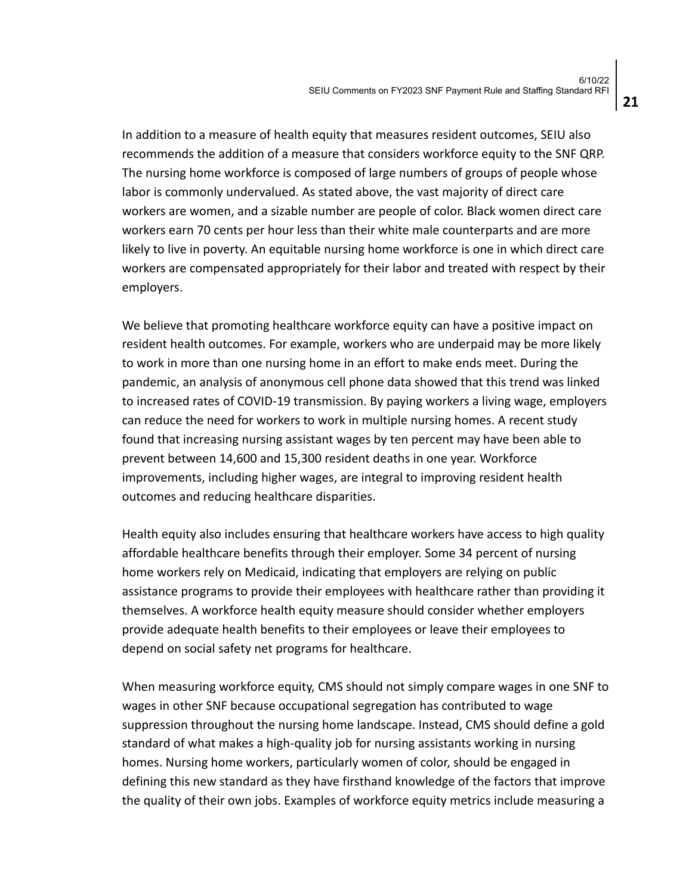In addition to a measure of health equity that measures resident outcomes, SEIU also recommends the addition of a measure that considers workforce equity to the SNF QRP. The nursing home workforce is composed of large numbers of groups of people whose labor is commonly undervalued. As stated above, the vast majority of direct care workers are women, and a sizable number are people of color. Black women direct care workers earn 70 cents per hour less than their white male counterparts and are more likely to live in poverty. An equitable nursing home workforce is one in which direct care workers are compensated appropriately for their labor and treated with respect by their employers.

We believe that promoting healthcare workforce equity can have a positive impact on resident health outcomes. For example, workers who are underpaid may be more likely to work in more than one nursing home in an effort to make ends meet. During the pandemic, an analysis of anonymous cell phone data showed that this trend was linked to increased rates of COVID-19 transmission. By paying workers a living wage, employers can reduce the need for workers to work in multiple nursing homes. A recent study found that increasing nursing assistant wages by ten percent may have been able to prevent between 14,600 and 15,300 resident deaths in one year. Workforce improvements, including higher wages, are integral to improving resident health outcomes and reducing healthcare disparities.

Health equity also includes ensuring that healthcare workers have access to high quality affordable healthcare benefits through their employer. Some 34 percent of nursing home workers rely on Medicaid, indicating that employers are relying on public assistance programs to provide their employees with healthcare rather than providing it themselves. A workforce health equity measure should consider whether employers provide adequate health benefits to their employees or leave their employees to depend on social safety net programs for healthcare.

When measuring workforce equity, CMS should not simply compare wages in one SNF to wages in other SNF because occupational segregation has contributed to wage suppression throughout the nursing home landscape. Instead, CMS should define a gold standard of what makes a high-quality job for nursing assistants working in nursing homes. Nursing home workers, particularly women of color, should be engaged in defining this new standard as they have firsthand knowledge of the factors that improve the quality of their own jobs. Examples of workforce equity metrics include measuring a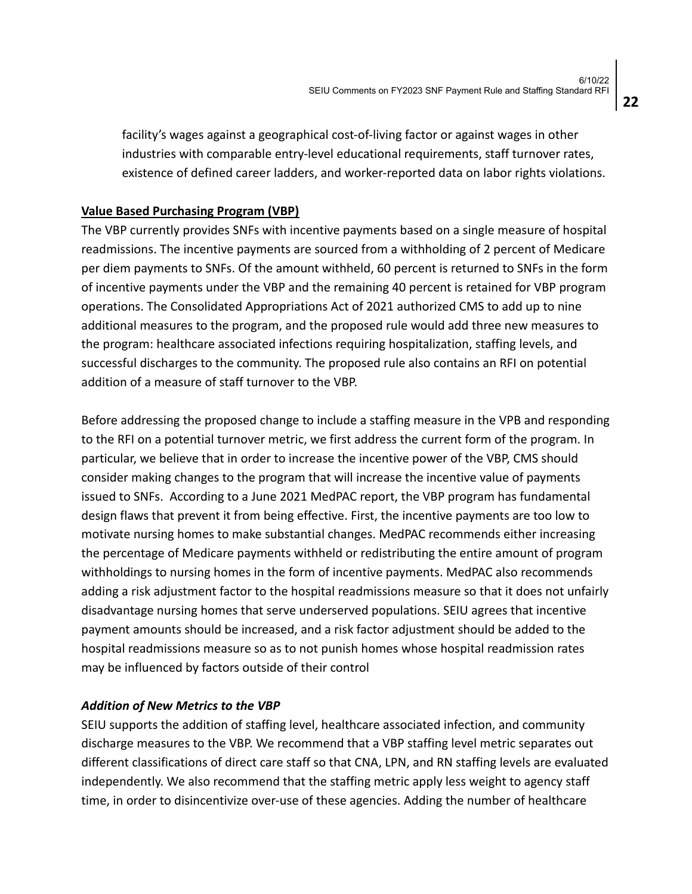facility's wages against a geographical cost-of-living factor or against wages in other industries with comparable entry-level educational requirements, staff turnover rates, existence of defined career ladders, and worker-reported data on labor rights violations.

### **Value Based Purchasing Program (VBP)**

The VBP currently provides SNFs with incentive payments based on a single measure of hospital readmissions. The incentive payments are sourced from a withholding of 2 percent of Medicare per diem payments to SNFs. Of the amount withheld, 60 percent is returned to SNFs in the form of incentive payments under the VBP and the remaining 40 percent is retained for VBP program operations. The Consolidated Appropriations Act of 2021 authorized CMS to add up to nine additional measures to the program, and the proposed rule would add three new measures to the program: healthcare associated infections requiring hospitalization, staffing levels, and successful discharges to the community. The proposed rule also contains an RFI on potential addition of a measure of staff turnover to the VBP.

Before addressing the proposed change to include a staffing measure in the VPB and responding to the RFI on a potential turnover metric, we first address the current form of the program. In particular, we believe that in order to increase the incentive power of the VBP, CMS should consider making changes to the program that will increase the incentive value of payments issued to SNFs. According to a June 2021 MedPAC report, the VBP program has fundamental design flaws that prevent it from being effective. First, the incentive payments are too low to motivate nursing homes to make substantial changes. MedPAC recommends either increasing the percentage of Medicare payments withheld or redistributing the entire amount of program withholdings to nursing homes in the form of incentive payments. MedPAC also recommends adding a risk adjustment factor to the hospital readmissions measure so that it does not unfairly disadvantage nursing homes that serve underserved populations. SEIU agrees that incentive payment amounts should be increased, and a risk factor adjustment should be added to the hospital readmissions measure so as to not punish homes whose hospital readmission rates may be influenced by factors outside of their control

#### *Addition of New Metrics to the VBP*

SEIU supports the addition of staffing level, healthcare associated infection, and community discharge measures to the VBP. We recommend that a VBP staffing level metric separates out different classifications of direct care staff so that CNA, LPN, and RN staffing levels are evaluated independently. We also recommend that the staffing metric apply less weight to agency staff time, in order to disincentivize over-use of these agencies. Adding the number of healthcare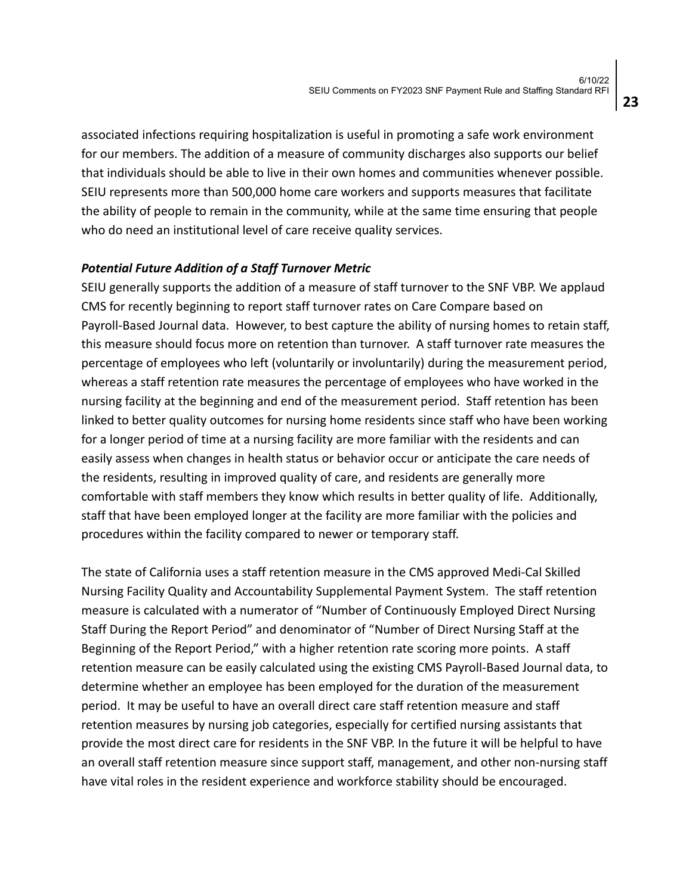associated infections requiring hospitalization is useful in promoting a safe work environment for our members. The addition of a measure of community discharges also supports our belief that individuals should be able to live in their own homes and communities whenever possible. SEIU represents more than 500,000 home care workers and supports measures that facilitate the ability of people to remain in the community, while at the same time ensuring that people who do need an institutional level of care receive quality services.

### *Potential Future Addition of a Staff Turnover Metric*

SEIU generally supports the addition of a measure of staff turnover to the SNF VBP. We applaud CMS for recently beginning to report staff turnover rates on Care Compare based on Payroll-Based Journal data. However, to best capture the ability of nursing homes to retain staff, this measure should focus more on retention than turnover. A staff turnover rate measures the percentage of employees who left (voluntarily or involuntarily) during the measurement period, whereas a staff retention rate measures the percentage of employees who have worked in the nursing facility at the beginning and end of the measurement period. Staff retention has been linked to better quality outcomes for nursing home residents since staff who have been working for a longer period of time at a nursing facility are more familiar with the residents and can easily assess when changes in health status or behavior occur or anticipate the care needs of the residents, resulting in improved quality of care, and residents are generally more comfortable with staff members they know which results in better quality of life. Additionally, staff that have been employed longer at the facility are more familiar with the policies and procedures within the facility compared to newer or temporary staff.

The state of California uses a staff retention measure in the CMS approved Medi-Cal Skilled Nursing Facility Quality and Accountability Supplemental Payment System. The staff retention measure is calculated with a numerator of "Number of Continuously Employed Direct Nursing Staff During the Report Period" and denominator of "Number of Direct Nursing Staff at the Beginning of the Report Period," with a higher retention rate scoring more points. A staff retention measure can be easily calculated using the existing CMS Payroll-Based Journal data, to determine whether an employee has been employed for the duration of the measurement period. It may be useful to have an overall direct care staff retention measure and staff retention measures by nursing job categories, especially for certified nursing assistants that provide the most direct care for residents in the SNF VBP. In the future it will be helpful to have an overall staff retention measure since support staff, management, and other non-nursing staff have vital roles in the resident experience and workforce stability should be encouraged.